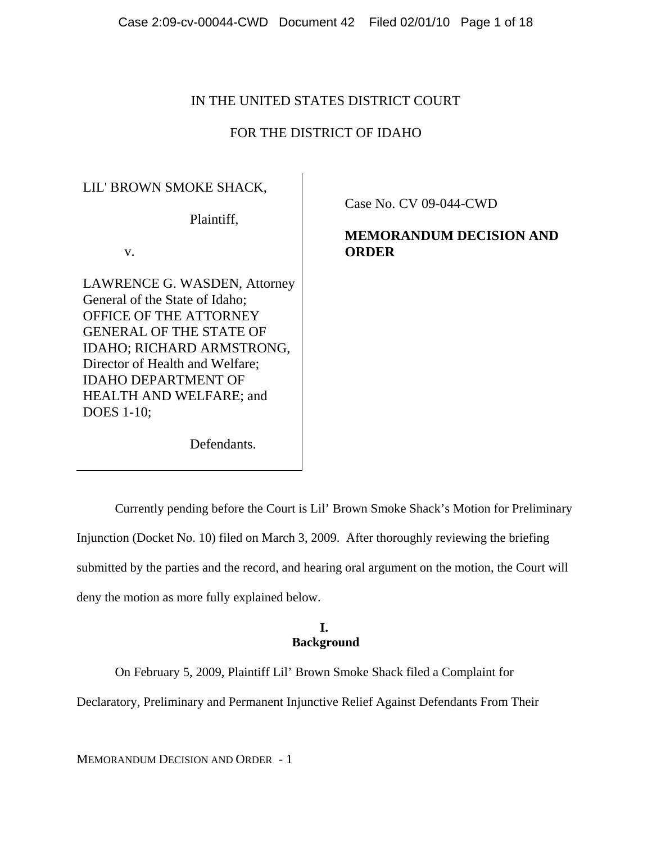# IN THE UNITED STATES DISTRICT COURT

## FOR THE DISTRICT OF IDAHO

## LIL' BROWN SMOKE SHACK,

Plaintiff,

v.

LAWRENCE G. WASDEN, Attorney General of the State of Idaho; OFFICE OF THE ATTORNEY GENERAL OF THE STATE OF IDAHO; RICHARD ARMSTRONG, Director of Health and Welfare; IDAHO DEPARTMENT OF HEALTH AND WELFARE; and DOES 1-10;

**MEMORANDUM DECISION AND**

**ORDER**

Case No. CV 09-044-CWD

Defendants.

Currently pending before the Court is Lil' Brown Smoke Shack's Motion for Preliminary Injunction (Docket No. 10) filed on March 3, 2009. After thoroughly reviewing the briefing submitted by the parties and the record, and hearing oral argument on the motion, the Court will deny the motion as more fully explained below.

### **I. Background**

On February 5, 2009, Plaintiff Lil' Brown Smoke Shack filed a Complaint for

Declaratory, Preliminary and Permanent Injunctive Relief Against Defendants From Their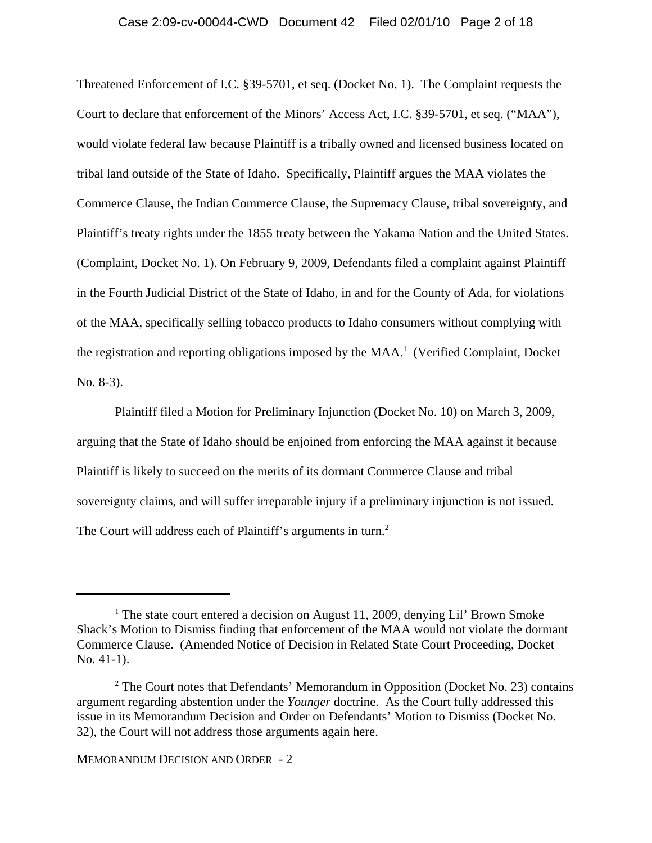#### Case 2:09-cv-00044-CWD Document 42 Filed 02/01/10 Page 2 of 18

Threatened Enforcement of I.C. §39-5701, et seq. (Docket No. 1). The Complaint requests the Court to declare that enforcement of the Minors' Access Act, I.C. §39-5701, et seq. ("MAA"), would violate federal law because Plaintiff is a tribally owned and licensed business located on tribal land outside of the State of Idaho. Specifically, Plaintiff argues the MAA violates the Commerce Clause, the Indian Commerce Clause, the Supremacy Clause, tribal sovereignty, and Plaintiff's treaty rights under the 1855 treaty between the Yakama Nation and the United States. (Complaint, Docket No. 1). On February 9, 2009, Defendants filed a complaint against Plaintiff in the Fourth Judicial District of the State of Idaho, in and for the County of Ada, for violations of the MAA, specifically selling tobacco products to Idaho consumers without complying with the registration and reporting obligations imposed by the MAA.<sup>1</sup> (Verified Complaint, Docket No. 8-3).

Plaintiff filed a Motion for Preliminary Injunction (Docket No. 10) on March 3, 2009, arguing that the State of Idaho should be enjoined from enforcing the MAA against it because Plaintiff is likely to succeed on the merits of its dormant Commerce Clause and tribal sovereignty claims, and will suffer irreparable injury if a preliminary injunction is not issued. The Court will address each of Plaintiff's arguments in turn.<sup>2</sup>

<sup>&</sup>lt;sup>1</sup> The state court entered a decision on August 11, 2009, denying Lil' Brown Smoke Shack's Motion to Dismiss finding that enforcement of the MAA would not violate the dormant Commerce Clause. (Amended Notice of Decision in Related State Court Proceeding, Docket No. 41-1).

<sup>&</sup>lt;sup>2</sup> The Court notes that Defendants' Memorandum in Opposition (Docket No. 23) contains argument regarding abstention under the *Younger* doctrine. As the Court fully addressed this issue in its Memorandum Decision and Order on Defendants' Motion to Dismiss (Docket No. 32), the Court will not address those arguments again here.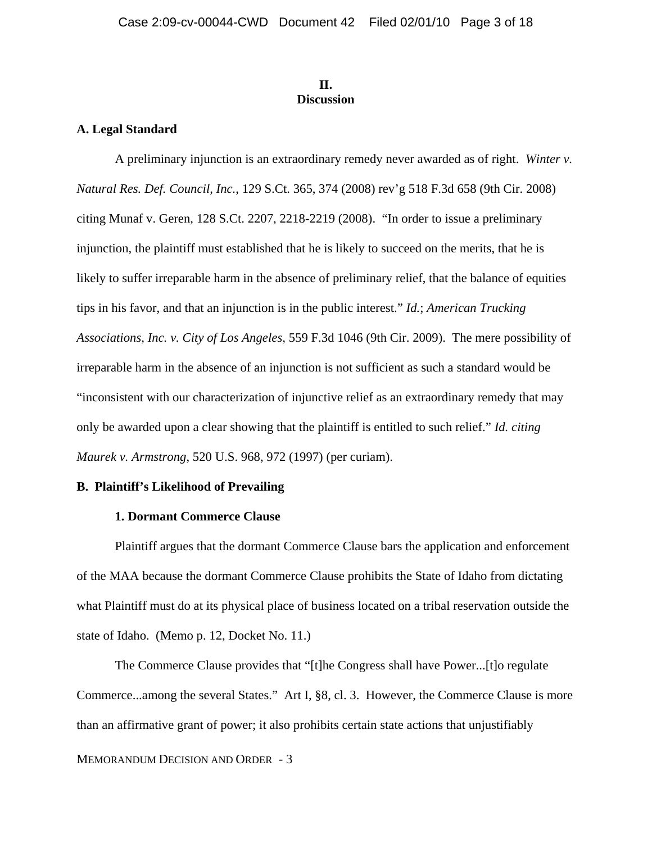#### **II. Discussion**

#### **A. Legal Standard**

A preliminary injunction is an extraordinary remedy never awarded as of right. *Winter v. Natural Res. Def. Council, Inc.*, 129 S.Ct. 365, 374 (2008) rev'g 518 F.3d 658 (9th Cir. 2008) citing Munaf v. Geren, 128 S.Ct. 2207, 2218-2219 (2008). "In order to issue a preliminary injunction, the plaintiff must established that he is likely to succeed on the merits, that he is likely to suffer irreparable harm in the absence of preliminary relief, that the balance of equities tips in his favor, and that an injunction is in the public interest." *Id.*; *American Trucking Associations, Inc. v. City of Los Angeles*, 559 F.3d 1046 (9th Cir. 2009). The mere possibility of irreparable harm in the absence of an injunction is not sufficient as such a standard would be "inconsistent with our characterization of injunctive relief as an extraordinary remedy that may only be awarded upon a clear showing that the plaintiff is entitled to such relief." *Id. citing Maurek v. Armstrong*, 520 U.S. 968, 972 (1997) (per curiam).

### **B. Plaintiff's Likelihood of Prevailing**

### **1. Dormant Commerce Clause**

Plaintiff argues that the dormant Commerce Clause bars the application and enforcement of the MAA because the dormant Commerce Clause prohibits the State of Idaho from dictating what Plaintiff must do at its physical place of business located on a tribal reservation outside the state of Idaho. (Memo p. 12, Docket No. 11.)

MEMORANDUM DECISION AND ORDER - 3 The Commerce Clause provides that "[t]he Congress shall have Power...[t]o regulate Commerce...among the several States." Art I, §8, cl. 3. However, the Commerce Clause is more than an affirmative grant of power; it also prohibits certain state actions that unjustifiably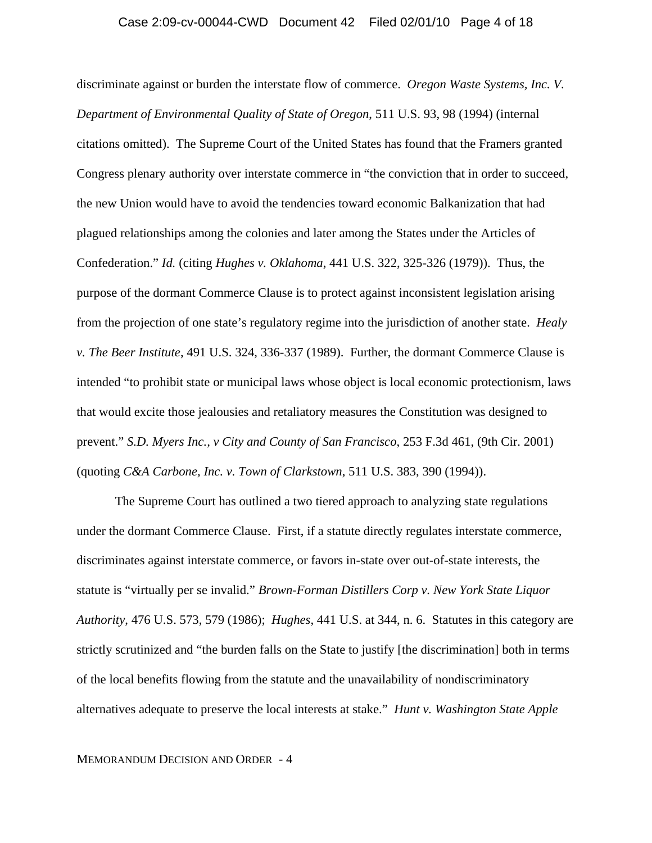#### Case 2:09-cv-00044-CWD Document 42 Filed 02/01/10 Page 4 of 18

discriminate against or burden the interstate flow of commerce. *Oregon Waste Systems, Inc. V. Department of Environmental Quality of State of Oregon*, 511 U.S. 93, 98 (1994) (internal citations omitted). The Supreme Court of the United States has found that the Framers granted Congress plenary authority over interstate commerce in "the conviction that in order to succeed, the new Union would have to avoid the tendencies toward economic Balkanization that had plagued relationships among the colonies and later among the States under the Articles of Confederation." *Id.* (citing *Hughes v. Oklahoma*, 441 U.S. 322, 325-326 (1979)). Thus, the purpose of the dormant Commerce Clause is to protect against inconsistent legislation arising from the projection of one state's regulatory regime into the jurisdiction of another state. *Healy v. The Beer Institute*, 491 U.S. 324, 336-337 (1989). Further, the dormant Commerce Clause is intended "to prohibit state or municipal laws whose object is local economic protectionism, laws that would excite those jealousies and retaliatory measures the Constitution was designed to prevent." *S.D. Myers Inc., v City and County of San Francisco*, 253 F.3d 461, (9th Cir. 2001) (quoting *C&A Carbone, Inc. v. Town of Clarkstown*, 511 U.S. 383, 390 (1994)).

The Supreme Court has outlined a two tiered approach to analyzing state regulations under the dormant Commerce Clause. First, if a statute directly regulates interstate commerce, discriminates against interstate commerce, or favors in-state over out-of-state interests, the statute is "virtually per se invalid." *Brown-Forman Distillers Corp v. New York State Liquor Authority*, 476 U.S. 573, 579 (1986); *Hughes*, 441 U.S. at 344, n. 6. Statutes in this category are strictly scrutinized and "the burden falls on the State to justify [the discrimination] both in terms of the local benefits flowing from the statute and the unavailability of nondiscriminatory alternatives adequate to preserve the local interests at stake." *Hunt v. Washington State Apple*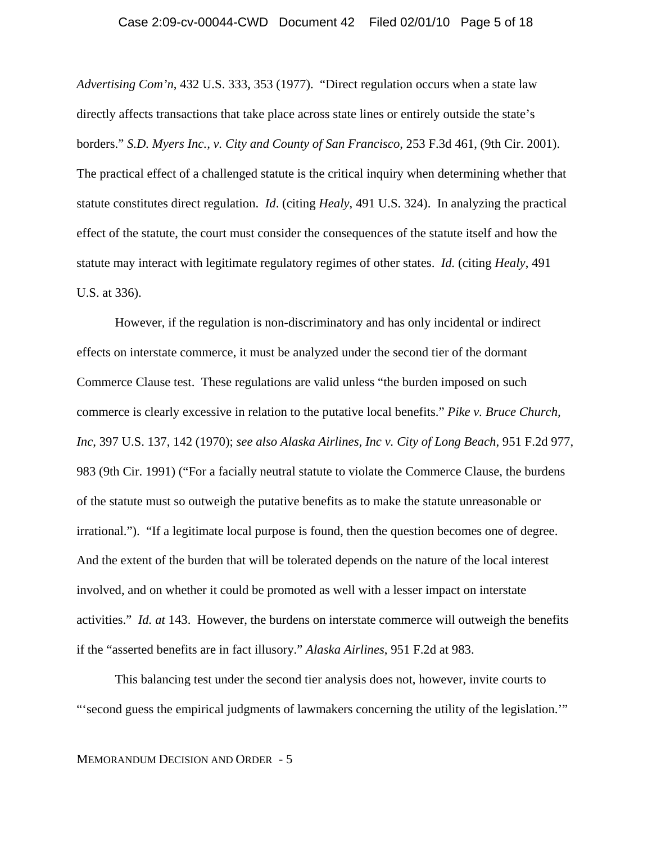#### Case 2:09-cv-00044-CWD Document 42 Filed 02/01/10 Page 5 of 18

*Advertising Com'n*, 432 U.S. 333, 353 (1977). "Direct regulation occurs when a state law directly affects transactions that take place across state lines or entirely outside the state's borders." *S.D. Myers Inc., v. City and County of San Francisco*, 253 F.3d 461, (9th Cir. 2001). The practical effect of a challenged statute is the critical inquiry when determining whether that statute constitutes direct regulation. *Id*. (citing *Healy*, 491 U.S. 324). In analyzing the practical effect of the statute, the court must consider the consequences of the statute itself and how the statute may interact with legitimate regulatory regimes of other states. *Id.* (citing *Healy*, 491 U.S. at 336).

However, if the regulation is non-discriminatory and has only incidental or indirect effects on interstate commerce, it must be analyzed under the second tier of the dormant Commerce Clause test. These regulations are valid unless "the burden imposed on such commerce is clearly excessive in relation to the putative local benefits." *Pike v. Bruce Church, Inc*, 397 U.S. 137, 142 (1970); *see also Alaska Airlines, Inc v. City of Long Beach*, 951 F.2d 977, 983 (9th Cir. 1991) ("For a facially neutral statute to violate the Commerce Clause, the burdens of the statute must so outweigh the putative benefits as to make the statute unreasonable or irrational."). "If a legitimate local purpose is found, then the question becomes one of degree. And the extent of the burden that will be tolerated depends on the nature of the local interest involved, and on whether it could be promoted as well with a lesser impact on interstate activities." *Id. at* 143. However, the burdens on interstate commerce will outweigh the benefits if the "asserted benefits are in fact illusory." *Alaska Airlines*, 951 F.2d at 983.

This balancing test under the second tier analysis does not, however, invite courts to "'second guess the empirical judgments of lawmakers concerning the utility of the legislation.'"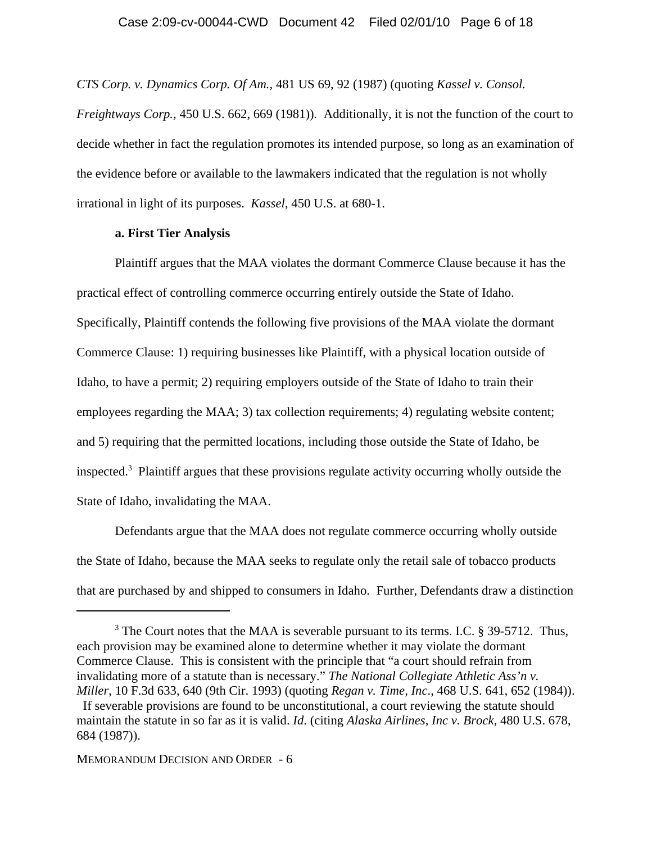*CTS Corp. v. Dynamics Corp. Of Am.,* 481 US 69, 92 (1987) (quoting *Kassel v. Consol. Freightways Corp.,* 450 U.S. 662, 669 (1981))*.* Additionally, it is not the function of the court to decide whether in fact the regulation promotes its intended purpose, so long as an examination of the evidence before or available to the lawmakers indicated that the regulation is not wholly irrational in light of its purposes. *Kassel*, 450 U.S. at 680-1.

### **a. First Tier Analysis**

Plaintiff argues that the MAA violates the dormant Commerce Clause because it has the practical effect of controlling commerce occurring entirely outside the State of Idaho. Specifically, Plaintiff contends the following five provisions of the MAA violate the dormant Commerce Clause: 1) requiring businesses like Plaintiff, with a physical location outside of Idaho, to have a permit; 2) requiring employers outside of the State of Idaho to train their employees regarding the MAA; 3) tax collection requirements; 4) regulating website content; and 5) requiring that the permitted locations, including those outside the State of Idaho, be inspected.3 Plaintiff argues that these provisions regulate activity occurring wholly outside the State of Idaho, invalidating the MAA.

Defendants argue that the MAA does not regulate commerce occurring wholly outside the State of Idaho, because the MAA seeks to regulate only the retail sale of tobacco products that are purchased by and shipped to consumers in Idaho. Further, Defendants draw a distinction

<sup>&</sup>lt;sup>3</sup> The Court notes that the MAA is severable pursuant to its terms. I.C. § 39-5712. Thus, each provision may be examined alone to determine whether it may violate the dormant Commerce Clause. This is consistent with the principle that "a court should refrain from invalidating more of a statute than is necessary." *The National Collegiate Athletic Ass'n v. Miller*, 10 F.3d 633, 640 (9th Cir. 1993) (quoting *Regan v. Time, Inc*., 468 U.S. 641, 652 (1984)).

If severable provisions are found to be unconstitutional, a court reviewing the statute should maintain the statute in so far as it is valid. *Id*. (citing *Alaska Airlines, Inc v. Brock*, 480 U.S. 678, 684 (1987)).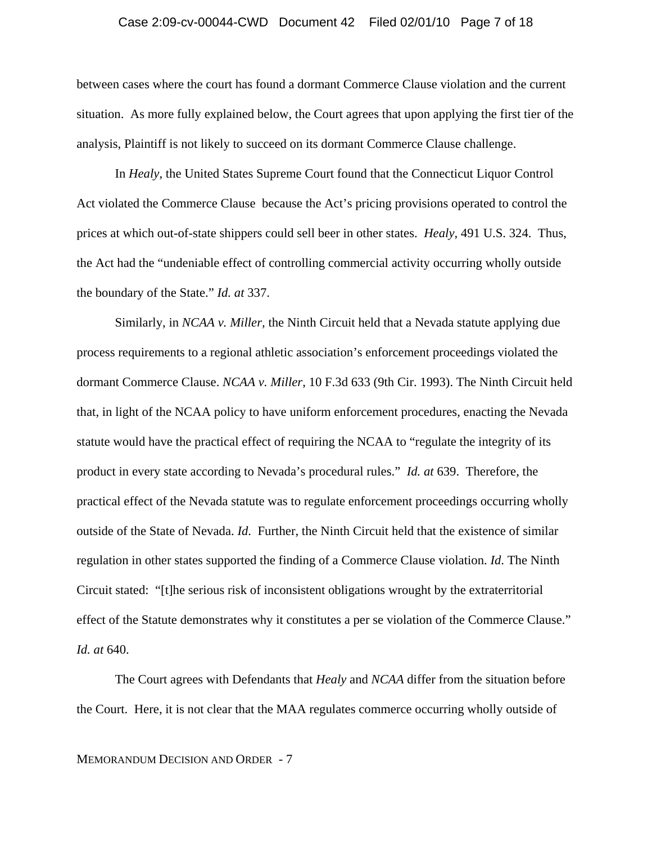#### Case 2:09-cv-00044-CWD Document 42 Filed 02/01/10 Page 7 of 18

between cases where the court has found a dormant Commerce Clause violation and the current situation. As more fully explained below, the Court agrees that upon applying the first tier of the analysis, Plaintiff is not likely to succeed on its dormant Commerce Clause challenge.

In *Healy*, the United States Supreme Court found that the Connecticut Liquor Control Act violated the Commerce Clause because the Act's pricing provisions operated to control the prices at which out-of-state shippers could sell beer in other states. *Healy*, 491 U.S. 324. Thus, the Act had the "undeniable effect of controlling commercial activity occurring wholly outside the boundary of the State." *Id. at* 337.

Similarly, in *NCAA v. Miller,* the Ninth Circuit held that a Nevada statute applying due process requirements to a regional athletic association's enforcement proceedings violated the dormant Commerce Clause. *NCAA v. Miller*, 10 F.3d 633 (9th Cir. 1993). The Ninth Circuit held that, in light of the NCAA policy to have uniform enforcement procedures, enacting the Nevada statute would have the practical effect of requiring the NCAA to "regulate the integrity of its product in every state according to Nevada's procedural rules." *Id. at* 639. Therefore, the practical effect of the Nevada statute was to regulate enforcement proceedings occurring wholly outside of the State of Nevada. *Id*. Further, the Ninth Circuit held that the existence of similar regulation in other states supported the finding of a Commerce Clause violation. *Id*. The Ninth Circuit stated: "[t]he serious risk of inconsistent obligations wrought by the extraterritorial effect of the Statute demonstrates why it constitutes a per se violation of the Commerce Clause." *Id. at* 640.

The Court agrees with Defendants that *Healy* and *NCAA* differ from the situation before the Court. Here, it is not clear that the MAA regulates commerce occurring wholly outside of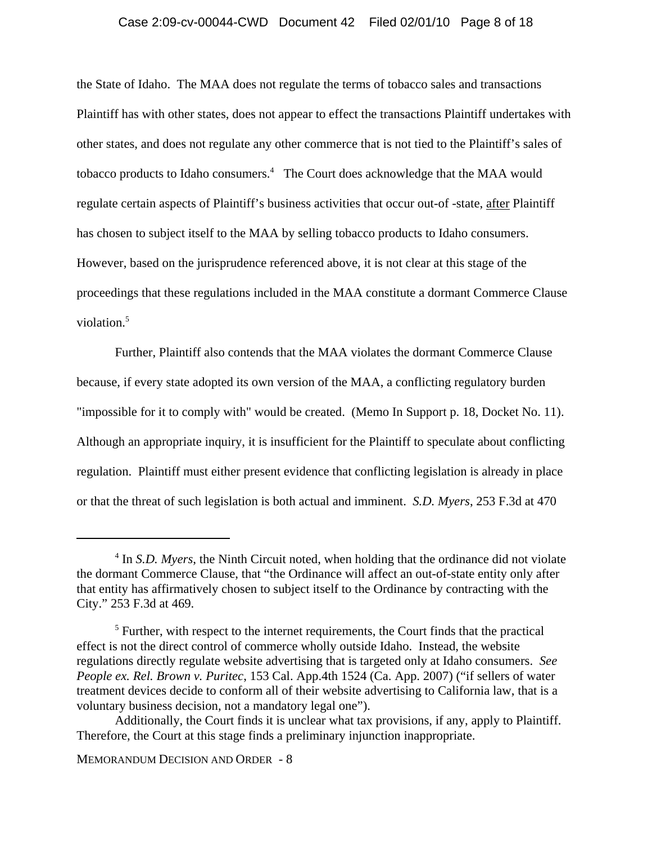### Case 2:09-cv-00044-CWD Document 42 Filed 02/01/10 Page 8 of 18

the State of Idaho. The MAA does not regulate the terms of tobacco sales and transactions Plaintiff has with other states, does not appear to effect the transactions Plaintiff undertakes with other states, and does not regulate any other commerce that is not tied to the Plaintiff's sales of tobacco products to Idaho consumers.<sup>4</sup> The Court does acknowledge that the MAA would regulate certain aspects of Plaintiff's business activities that occur out-of -state, after Plaintiff has chosen to subject itself to the MAA by selling tobacco products to Idaho consumers. However, based on the jurisprudence referenced above, it is not clear at this stage of the proceedings that these regulations included in the MAA constitute a dormant Commerce Clause violation.<sup>5</sup>

Further, Plaintiff also contends that the MAA violates the dormant Commerce Clause because, if every state adopted its own version of the MAA, a conflicting regulatory burden "impossible for it to comply with" would be created. (Memo In Support p. 18, Docket No. 11). Although an appropriate inquiry, it is insufficient for the Plaintiff to speculate about conflicting regulation. Plaintiff must either present evidence that conflicting legislation is already in place or that the threat of such legislation is both actual and imminent. *S.D. Myers*, 253 F.3d at 470

<sup>&</sup>lt;sup>4</sup> In *S.D. Myers*, the Ninth Circuit noted, when holding that the ordinance did not violate the dormant Commerce Clause, that "the Ordinance will affect an out-of-state entity only after that entity has affirmatively chosen to subject itself to the Ordinance by contracting with the City." 253 F.3d at 469.

 $<sup>5</sup>$  Further, with respect to the internet requirements, the Court finds that the practical</sup> effect is not the direct control of commerce wholly outside Idaho. Instead, the website regulations directly regulate website advertising that is targeted only at Idaho consumers. *See People ex. Rel. Brown v. Puritec*, 153 Cal. App.4th 1524 (Ca. App. 2007) ("if sellers of water treatment devices decide to conform all of their website advertising to California law, that is a voluntary business decision, not a mandatory legal one").

Additionally, the Court finds it is unclear what tax provisions, if any, apply to Plaintiff. Therefore, the Court at this stage finds a preliminary injunction inappropriate.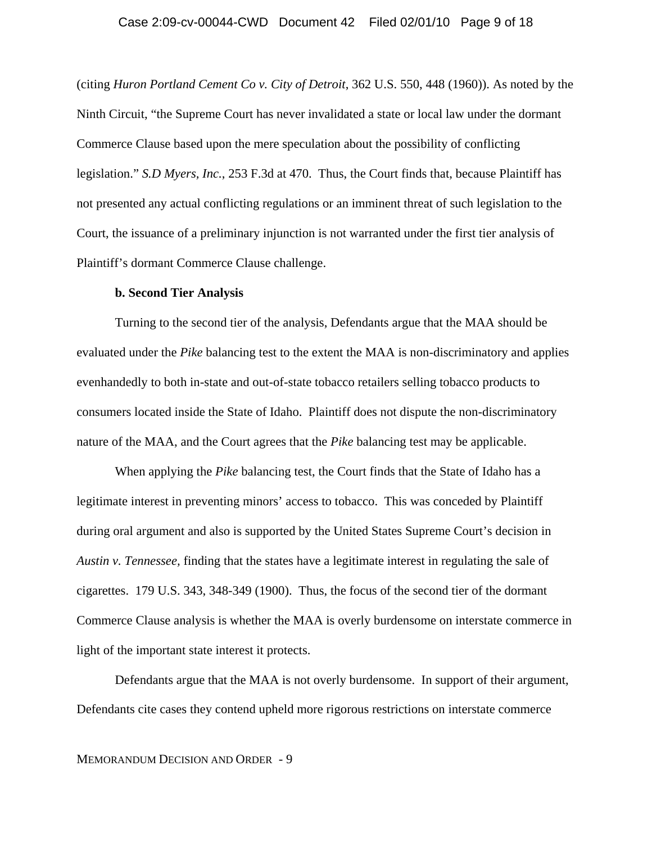#### Case 2:09-cv-00044-CWD Document 42 Filed 02/01/10 Page 9 of 18

(citing *Huron Portland Cement Co v. City of Detroit*, 362 U.S. 550, 448 (1960)). As noted by the Ninth Circuit, "the Supreme Court has never invalidated a state or local law under the dormant Commerce Clause based upon the mere speculation about the possibility of conflicting legislation." *S.D Myers, Inc.*, 253 F.3d at 470. Thus, the Court finds that, because Plaintiff has not presented any actual conflicting regulations or an imminent threat of such legislation to the Court, the issuance of a preliminary injunction is not warranted under the first tier analysis of Plaintiff's dormant Commerce Clause challenge.

#### **b. Second Tier Analysis**

Turning to the second tier of the analysis, Defendants argue that the MAA should be evaluated under the *Pike* balancing test to the extent the MAA is non-discriminatory and applies evenhandedly to both in-state and out-of-state tobacco retailers selling tobacco products to consumers located inside the State of Idaho. Plaintiff does not dispute the non-discriminatory nature of the MAA, and the Court agrees that the *Pike* balancing test may be applicable.

When applying the *Pike* balancing test, the Court finds that the State of Idaho has a legitimate interest in preventing minors' access to tobacco. This was conceded by Plaintiff during oral argument and also is supported by the United States Supreme Court's decision in *Austin v. Tennessee,* finding that the states have a legitimate interest in regulating the sale of cigarettes. 179 U.S. 343, 348-349 (1900). Thus, the focus of the second tier of the dormant Commerce Clause analysis is whether the MAA is overly burdensome on interstate commerce in light of the important state interest it protects.

Defendants argue that the MAA is not overly burdensome. In support of their argument, Defendants cite cases they contend upheld more rigorous restrictions on interstate commerce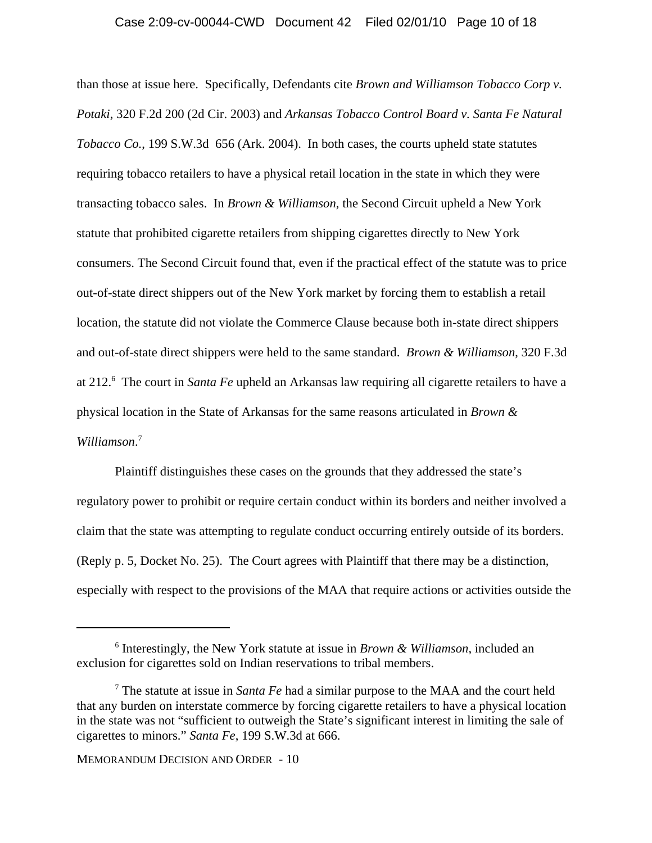#### Case 2:09-cv-00044-CWD Document 42 Filed 02/01/10 Page 10 of 18

than those at issue here. Specifically, Defendants cite *Brown and Williamson Tobacco Corp v. Potaki*, 320 F.2d 200 (2d Cir. 2003) and *Arkansas Tobacco Control Board v. Santa Fe Natural Tobacco Co.*, 199 S.W.3d 656 (Ark. 2004). In both cases, the courts upheld state statutes requiring tobacco retailers to have a physical retail location in the state in which they were transacting tobacco sales. In *Brown & Williamson*, the Second Circuit upheld a New York statute that prohibited cigarette retailers from shipping cigarettes directly to New York consumers. The Second Circuit found that, even if the practical effect of the statute was to price out-of-state direct shippers out of the New York market by forcing them to establish a retail location, the statute did not violate the Commerce Clause because both in-state direct shippers and out-of-state direct shippers were held to the same standard. *Brown & Williamson*, 320 F.3d at 212.<sup>6</sup> The court in *Santa Fe* upheld an Arkansas law requiring all cigarette retailers to have a physical location in the State of Arkansas for the same reasons articulated in *Brown & Williamson*. 7

Plaintiff distinguishes these cases on the grounds that they addressed the state's regulatory power to prohibit or require certain conduct within its borders and neither involved a claim that the state was attempting to regulate conduct occurring entirely outside of its borders. (Reply p. 5, Docket No. 25). The Court agrees with Plaintiff that there may be a distinction, especially with respect to the provisions of the MAA that require actions or activities outside the

<sup>6</sup> Interestingly, the New York statute at issue in *Brown & Williamson*, included an exclusion for cigarettes sold on Indian reservations to tribal members.

<sup>7</sup> The statute at issue in *Santa Fe* had a similar purpose to the MAA and the court held that any burden on interstate commerce by forcing cigarette retailers to have a physical location in the state was not "sufficient to outweigh the State's significant interest in limiting the sale of cigarettes to minors." *Santa Fe*, 199 S.W.3d at 666.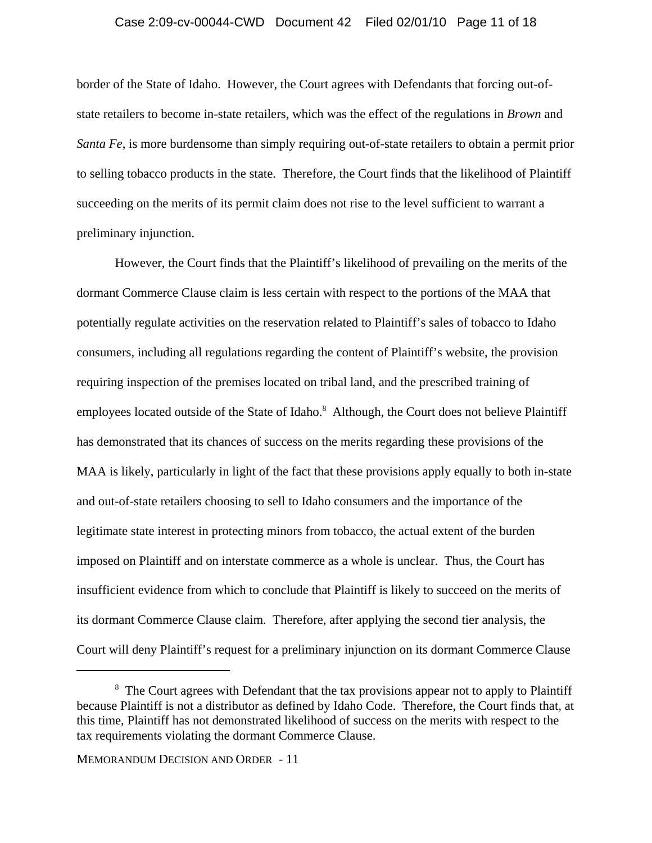#### Case 2:09-cv-00044-CWD Document 42 Filed 02/01/10 Page 11 of 18

border of the State of Idaho. However, the Court agrees with Defendants that forcing out-ofstate retailers to become in-state retailers, which was the effect of the regulations in *Brown* and *Santa Fe*, is more burdensome than simply requiring out-of-state retailers to obtain a permit prior to selling tobacco products in the state. Therefore, the Court finds that the likelihood of Plaintiff succeeding on the merits of its permit claim does not rise to the level sufficient to warrant a preliminary injunction.

However, the Court finds that the Plaintiff's likelihood of prevailing on the merits of the dormant Commerce Clause claim is less certain with respect to the portions of the MAA that potentially regulate activities on the reservation related to Plaintiff's sales of tobacco to Idaho consumers, including all regulations regarding the content of Plaintiff's website, the provision requiring inspection of the premises located on tribal land, and the prescribed training of employees located outside of the State of Idaho.<sup>8</sup> Although, the Court does not believe Plaintiff has demonstrated that its chances of success on the merits regarding these provisions of the MAA is likely, particularly in light of the fact that these provisions apply equally to both in-state and out-of-state retailers choosing to sell to Idaho consumers and the importance of the legitimate state interest in protecting minors from tobacco, the actual extent of the burden imposed on Plaintiff and on interstate commerce as a whole is unclear. Thus, the Court has insufficient evidence from which to conclude that Plaintiff is likely to succeed on the merits of its dormant Commerce Clause claim. Therefore, after applying the second tier analysis, the Court will deny Plaintiff's request for a preliminary injunction on its dormant Commerce Clause

<sup>&</sup>lt;sup>8</sup> The Court agrees with Defendant that the tax provisions appear not to apply to Plaintiff because Plaintiff is not a distributor as defined by Idaho Code. Therefore, the Court finds that, at this time, Plaintiff has not demonstrated likelihood of success on the merits with respect to the tax requirements violating the dormant Commerce Clause.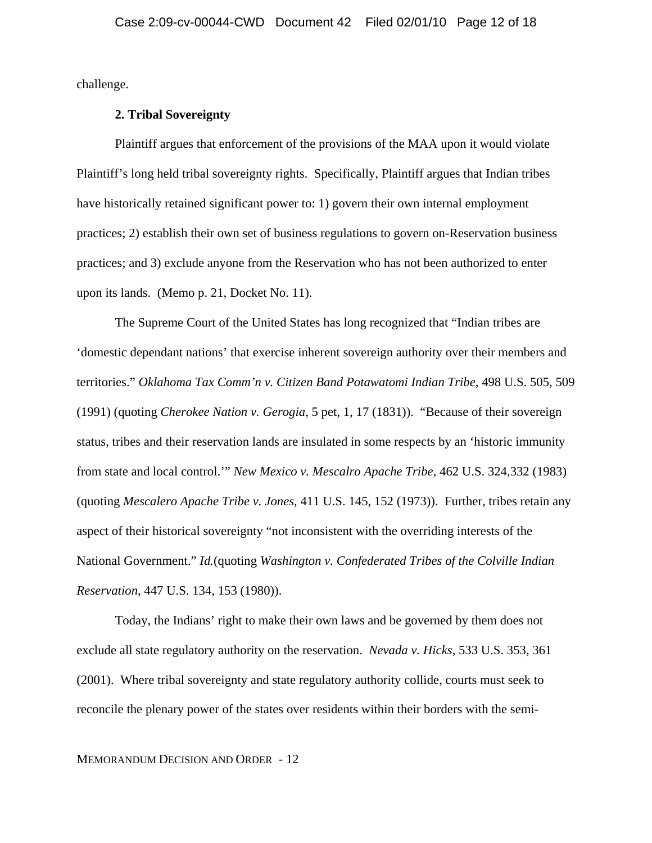challenge.

### **2. Tribal Sovereignty**

Plaintiff argues that enforcement of the provisions of the MAA upon it would violate Plaintiff's long held tribal sovereignty rights. Specifically, Plaintiff argues that Indian tribes have historically retained significant power to: 1) govern their own internal employment practices; 2) establish their own set of business regulations to govern on-Reservation business practices; and 3) exclude anyone from the Reservation who has not been authorized to enter upon its lands. (Memo p. 21, Docket No. 11).

The Supreme Court of the United States has long recognized that "Indian tribes are 'domestic dependant nations' that exercise inherent sovereign authority over their members and territories." *Oklahoma Tax Comm'n v. Citizen Band Potawatomi Indian Tribe*, 498 U.S. 505, 509 (1991) (quoting *Cherokee Nation v. Gerogia*, 5 pet, 1, 17 (1831)). "Because of their sovereign status, tribes and their reservation lands are insulated in some respects by an 'historic immunity from state and local control.'" *New Mexico v. Mescalro Apache Tribe*, 462 U.S. 324,332 (1983) (quoting *Mescalero Apache Tribe v. Jones*, 411 U.S. 145, 152 (1973)). Further, tribes retain any aspect of their historical sovereignty "not inconsistent with the overriding interests of the National Government." *Id.*(quoting *Washington v. Confederated Tribes of the Colville Indian Reservation*, 447 U.S. 134, 153 (1980)).

Today, the Indians' right to make their own laws and be governed by them does not exclude all state regulatory authority on the reservation. *Nevada v. Hicks*, 533 U.S. 353, 361 (2001). Where tribal sovereignty and state regulatory authority collide, courts must seek to reconcile the plenary power of the states over residents within their borders with the semi-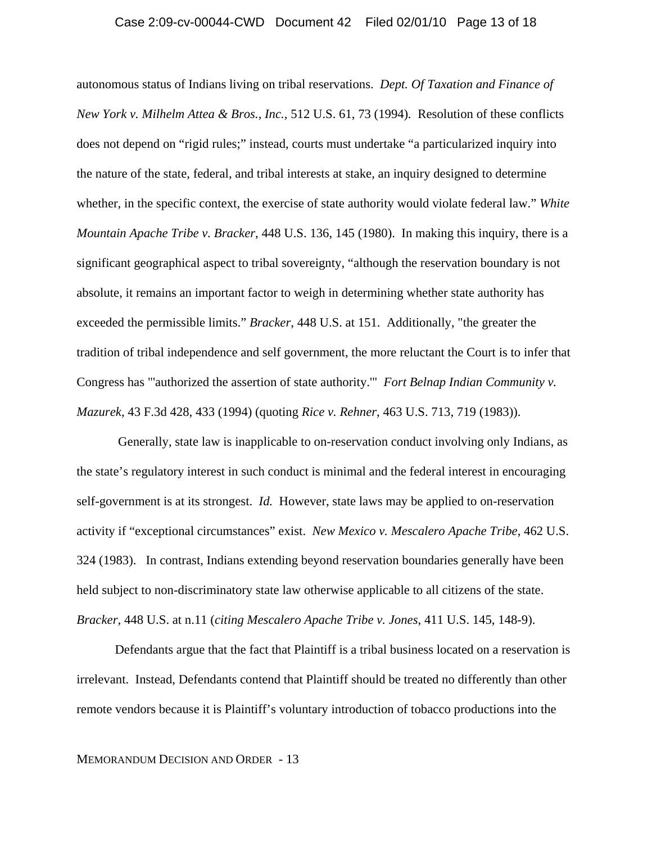#### Case 2:09-cv-00044-CWD Document 42 Filed 02/01/10 Page 13 of 18

autonomous status of Indians living on tribal reservations. *Dept. Of Taxation and Finance of New York v. Milhelm Attea & Bros., Inc.,* 512 U.S. 61, 73 (1994)*.* Resolution of these conflicts does not depend on "rigid rules;" instead, courts must undertake "a particularized inquiry into the nature of the state, federal, and tribal interests at stake, an inquiry designed to determine whether, in the specific context, the exercise of state authority would violate federal law." *White Mountain Apache Tribe v. Bracker*, 448 U.S. 136, 145 (1980). In making this inquiry, there is a significant geographical aspect to tribal sovereignty, "although the reservation boundary is not absolute, it remains an important factor to weigh in determining whether state authority has exceeded the permissible limits." *Bracker*, 448 U.S. at 151. Additionally, "the greater the tradition of tribal independence and self government, the more reluctant the Court is to infer that Congress has "'authorized the assertion of state authority.'" *Fort Belnap Indian Community v. Mazurek*, 43 F.3d 428, 433 (1994) (quoting *Rice v. Rehner*, 463 U.S. 713, 719 (1983)).

 Generally, state law is inapplicable to on-reservation conduct involving only Indians, as the state's regulatory interest in such conduct is minimal and the federal interest in encouraging self-government is at its strongest. *Id.* However, state laws may be applied to on-reservation activity if "exceptional circumstances" exist. *New Mexico v. Mescalero Apache Tribe*, 462 U.S. 324 (1983). In contrast, Indians extending beyond reservation boundaries generally have been held subject to non-discriminatory state law otherwise applicable to all citizens of the state. *Bracker,* 448 U.S. at n.11 (*citing Mescalero Apache Tribe v. Jones*, 411 U.S. 145, 148-9).

Defendants argue that the fact that Plaintiff is a tribal business located on a reservation is irrelevant. Instead, Defendants contend that Plaintiff should be treated no differently than other remote vendors because it is Plaintiff's voluntary introduction of tobacco productions into the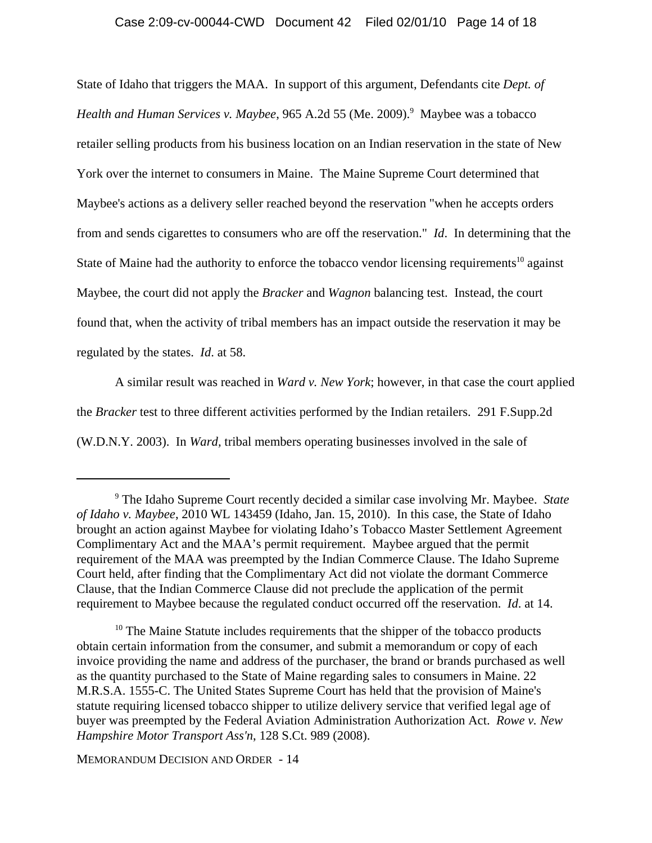### Case 2:09-cv-00044-CWD Document 42 Filed 02/01/10 Page 14 of 18

State of Idaho that triggers the MAA. In support of this argument, Defendants cite *Dept. of* Health and Human Services v. Maybee, 965 A.2d 55 (Me. 2009).<sup>9</sup> Maybee was a tobacco retailer selling products from his business location on an Indian reservation in the state of New York over the internet to consumers in Maine. The Maine Supreme Court determined that Maybee's actions as a delivery seller reached beyond the reservation "when he accepts orders from and sends cigarettes to consumers who are off the reservation." *Id*. In determining that the State of Maine had the authority to enforce the tobacco vendor licensing requirements<sup>10</sup> against Maybee, the court did not apply the *Bracker* and *Wagnon* balancing test. Instead, the court found that, when the activity of tribal members has an impact outside the reservation it may be regulated by the states. *Id*. at 58.

A similar result was reached in *Ward v. New York*; however, in that case the court applied the *Bracker* test to three different activities performed by the Indian retailers. 291 F.Supp.2d (W.D.N.Y. 2003). In *Ward,* tribal members operating businesses involved in the sale of

<sup>10</sup> The Maine Statute includes requirements that the shipper of the tobacco products obtain certain information from the consumer, and submit a memorandum or copy of each invoice providing the name and address of the purchaser, the brand or brands purchased as well as the quantity purchased to the State of Maine regarding sales to consumers in Maine. 22 M.R.S.A. 1555-C. The United States Supreme Court has held that the provision of Maine's statute requiring licensed tobacco shipper to utilize delivery service that verified legal age of buyer was preempted by the Federal Aviation Administration Authorization Act. *Rowe v. New Hampshire Motor Transport Ass'n*, 128 S.Ct. 989 (2008).

<sup>9</sup> The Idaho Supreme Court recently decided a similar case involving Mr. Maybee. *State of Idaho v. Maybee*, 2010 WL 143459 (Idaho, Jan. 15, 2010). In this case, the State of Idaho brought an action against Maybee for violating Idaho's Tobacco Master Settlement Agreement Complimentary Act and the MAA's permit requirement. Maybee argued that the permit requirement of the MAA was preempted by the Indian Commerce Clause. The Idaho Supreme Court held, after finding that the Complimentary Act did not violate the dormant Commerce Clause, that the Indian Commerce Clause did not preclude the application of the permit requirement to Maybee because the regulated conduct occurred off the reservation. *Id*. at 14.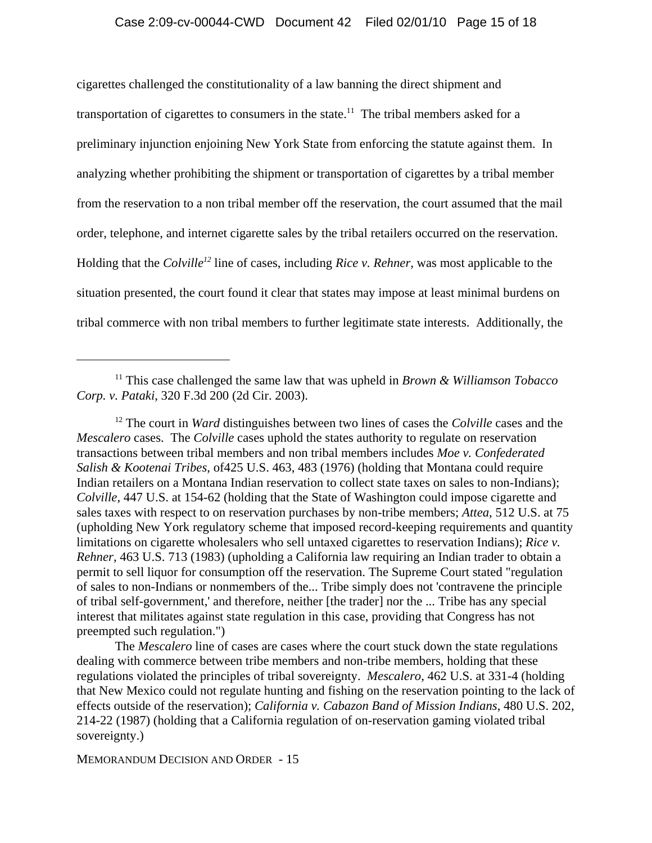cigarettes challenged the constitutionality of a law banning the direct shipment and transportation of cigarettes to consumers in the state.<sup>11</sup> The tribal members asked for a preliminary injunction enjoining New York State from enforcing the statute against them. In analyzing whether prohibiting the shipment or transportation of cigarettes by a tribal member from the reservation to a non tribal member off the reservation, the court assumed that the mail order, telephone, and internet cigarette sales by the tribal retailers occurred on the reservation. Holding that the *Colville12* line of cases, including *Rice v. Rehner,* was most applicable to the situation presented, the court found it clear that states may impose at least minimal burdens on tribal commerce with non tribal members to further legitimate state interests. Additionally, the

12 The court in *Ward* distinguishes between two lines of cases the *Colville* cases and the *Mescalero* cases. The *Colville* cases uphold the states authority to regulate on reservation transactions between tribal members and non tribal members includes *Moe v. Confederated Salish & Kootenai Tribes*, of425 U.S. 463, 483 (1976) (holding that Montana could require Indian retailers on a Montana Indian reservation to collect state taxes on sales to non-Indians); *Colville*, 447 U.S. at 154-62 (holding that the State of Washington could impose cigarette and sales taxes with respect to on reservation purchases by non-tribe members; *Attea*, 512 U.S. at 75 (upholding New York regulatory scheme that imposed record-keeping requirements and quantity limitations on cigarette wholesalers who sell untaxed cigarettes to reservation Indians); *Rice v. Rehner*, 463 U.S. 713 (1983) (upholding a California law requiring an Indian trader to obtain a permit to sell liquor for consumption off the reservation. The Supreme Court stated "regulation of sales to non-Indians or nonmembers of the... Tribe simply does not 'contravene the principle of tribal self-government,' and therefore, neither [the trader] nor the ... Tribe has any special interest that militates against state regulation in this case, providing that Congress has not preempted such regulation.")

The *Mescalero* line of cases are cases where the court stuck down the state regulations dealing with commerce between tribe members and non-tribe members, holding that these regulations violated the principles of tribal sovereignty. *Mescalero*, 462 U.S. at 331-4 (holding that New Mexico could not regulate hunting and fishing on the reservation pointing to the lack of effects outside of the reservation); *California v. Cabazon Band of Mission Indians*, 480 U.S. 202, 214-22 (1987) (holding that a California regulation of on-reservation gaming violated tribal sovereignty.)

<sup>11</sup> This case challenged the same law that was upheld in *Brown & Williamson Tobacco Corp. v. Pataki*, 320 F.3d 200 (2d Cir. 2003).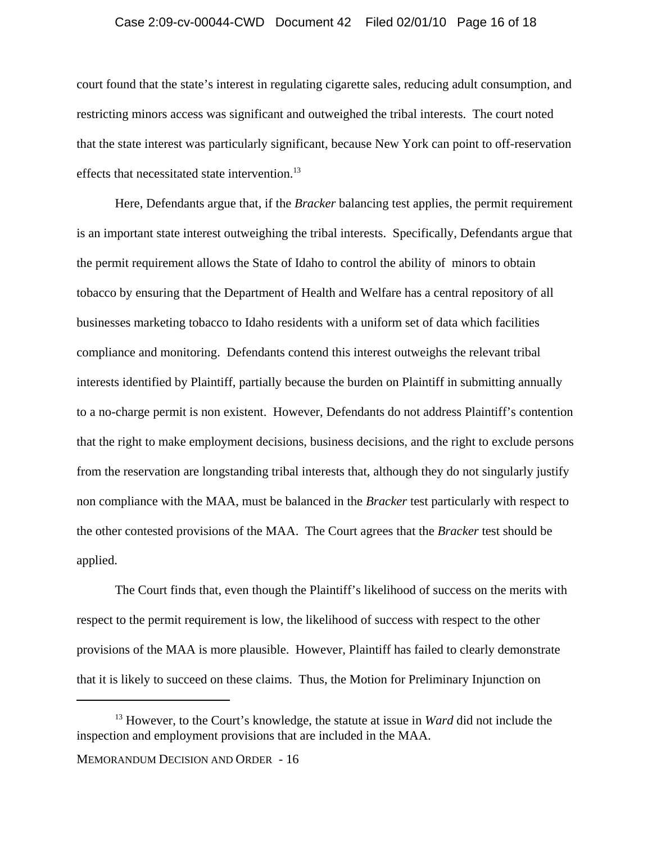#### Case 2:09-cv-00044-CWD Document 42 Filed 02/01/10 Page 16 of 18

court found that the state's interest in regulating cigarette sales, reducing adult consumption, and restricting minors access was significant and outweighed the tribal interests. The court noted that the state interest was particularly significant, because New York can point to off-reservation effects that necessitated state intervention.<sup>13</sup>

Here, Defendants argue that, if the *Bracker* balancing test applies, the permit requirement is an important state interest outweighing the tribal interests. Specifically, Defendants argue that the permit requirement allows the State of Idaho to control the ability of minors to obtain tobacco by ensuring that the Department of Health and Welfare has a central repository of all businesses marketing tobacco to Idaho residents with a uniform set of data which facilities compliance and monitoring. Defendants contend this interest outweighs the relevant tribal interests identified by Plaintiff, partially because the burden on Plaintiff in submitting annually to a no-charge permit is non existent. However, Defendants do not address Plaintiff's contention that the right to make employment decisions, business decisions, and the right to exclude persons from the reservation are longstanding tribal interests that, although they do not singularly justify non compliance with the MAA, must be balanced in the *Bracker* test particularly with respect to the other contested provisions of the MAA. The Court agrees that the *Bracker* test should be applied.

The Court finds that, even though the Plaintiff's likelihood of success on the merits with respect to the permit requirement is low, the likelihood of success with respect to the other provisions of the MAA is more plausible. However, Plaintiff has failed to clearly demonstrate that it is likely to succeed on these claims. Thus, the Motion for Preliminary Injunction on

<sup>13</sup> However, to the Court's knowledge, the statute at issue in *Ward* did not include the inspection and employment provisions that are included in the MAA.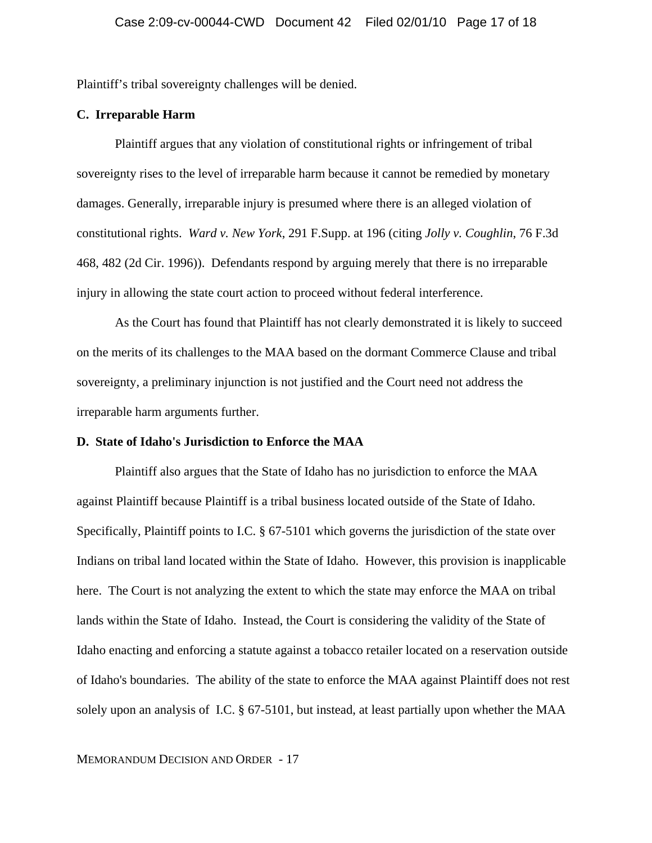Plaintiff's tribal sovereignty challenges will be denied.

### **C. Irreparable Harm**

Plaintiff argues that any violation of constitutional rights or infringement of tribal sovereignty rises to the level of irreparable harm because it cannot be remedied by monetary damages. Generally, irreparable injury is presumed where there is an alleged violation of constitutional rights. *Ward v. New York*, 291 F.Supp. at 196 (citing *Jolly v. Coughlin*, 76 F.3d 468, 482 (2d Cir. 1996)). Defendants respond by arguing merely that there is no irreparable injury in allowing the state court action to proceed without federal interference.

As the Court has found that Plaintiff has not clearly demonstrated it is likely to succeed on the merits of its challenges to the MAA based on the dormant Commerce Clause and tribal sovereignty, a preliminary injunction is not justified and the Court need not address the irreparable harm arguments further.

#### **D. State of Idaho's Jurisdiction to Enforce the MAA**

Plaintiff also argues that the State of Idaho has no jurisdiction to enforce the MAA against Plaintiff because Plaintiff is a tribal business located outside of the State of Idaho. Specifically, Plaintiff points to I.C. § 67-5101 which governs the jurisdiction of the state over Indians on tribal land located within the State of Idaho. However, this provision is inapplicable here. The Court is not analyzing the extent to which the state may enforce the MAA on tribal lands within the State of Idaho. Instead, the Court is considering the validity of the State of Idaho enacting and enforcing a statute against a tobacco retailer located on a reservation outside of Idaho's boundaries. The ability of the state to enforce the MAA against Plaintiff does not rest solely upon an analysis of I.C. § 67-5101, but instead, at least partially upon whether the MAA